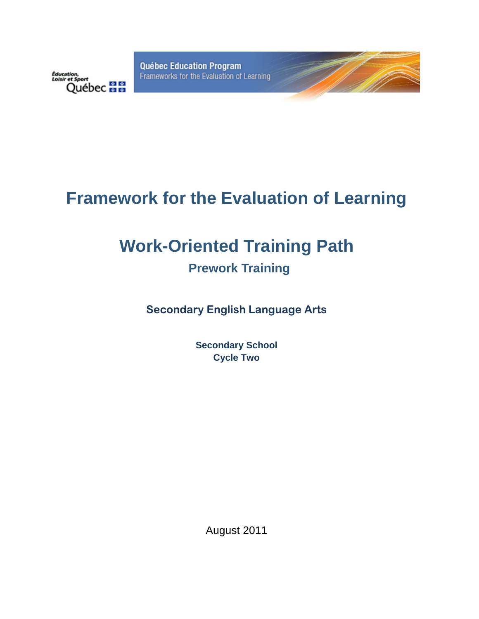**Québec Education Program** Frameworks for the Evaluation of Learning



# **Framework for the Evaluation of Learning**

# **Work-Oriented Training Path**

# **Prework Training**

**Secondary English Language Arts** 

**Secondary School Cycle Two** 

August 2011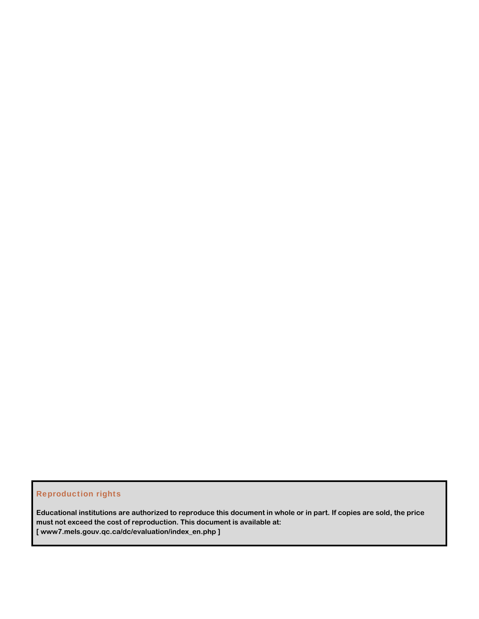#### Reproduction rights

**Educational institutions are authorized to reproduce this document in whole or in part. If copies are sold, the price must not exceed the cost of reproduction. This document is available at: [ www7.mels.gouv.qc.ca/dc/evaluation/index\_en.php ]**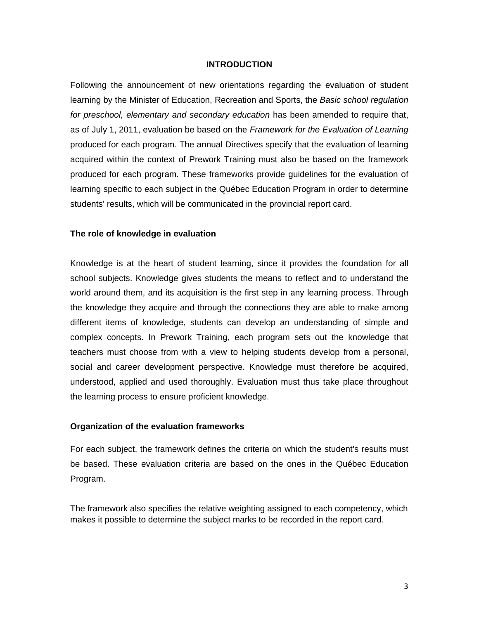#### **INTRODUCTION**

Following the announcement of new orientations regarding the evaluation of student learning by the Minister of Education, Recreation and Sports, the *Basic school regulation for preschool, elementary and secondary education* has been amended to require that, as of July 1, 2011, evaluation be based on the *Framework for the Evaluation of Learning*  produced for each program. The annual Directives specify that the evaluation of learning acquired within the context of Prework Training must also be based on the framework produced for each program. These frameworks provide guidelines for the evaluation of learning specific to each subject in the Québec Education Program in order to determine students' results, which will be communicated in the provincial report card.

#### **The role of knowledge in evaluation**

Knowledge is at the heart of student learning, since it provides the foundation for all school subjects. Knowledge gives students the means to reflect and to understand the world around them, and its acquisition is the first step in any learning process. Through the knowledge they acquire and through the connections they are able to make among different items of knowledge, students can develop an understanding of simple and complex concepts. In Prework Training, each program sets out the knowledge that teachers must choose from with a view to helping students develop from a personal, social and career development perspective. Knowledge must therefore be acquired, understood, applied and used thoroughly. Evaluation must thus take place throughout the learning process to ensure proficient knowledge.

#### **Organization of the evaluation frameworks**

For each subject, the framework defines the criteria on which the student's results must be based. These evaluation criteria are based on the ones in the Québec Education Program.

The framework also specifies the relative weighting assigned to each competency, which makes it possible to determine the subject marks to be recorded in the report card.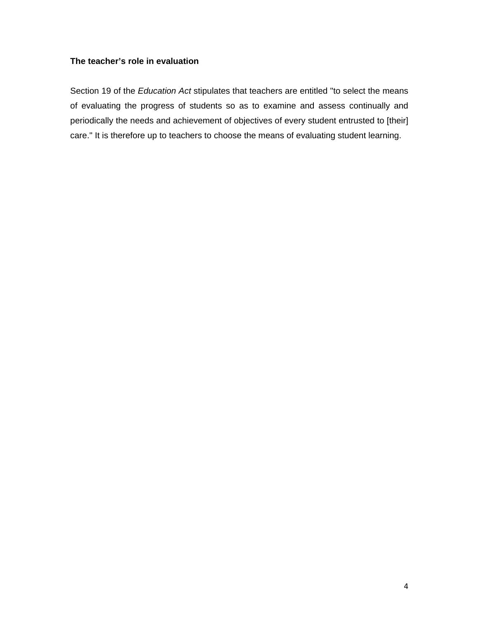#### **The teacher's role in evaluation**

Section 19 of the *Education Act* stipulates that teachers are entitled "to select the means of evaluating the progress of students so as to examine and assess continually and periodically the needs and achievement of objectives of every student entrusted to [their] care." It is therefore up to teachers to choose the means of evaluating student learning.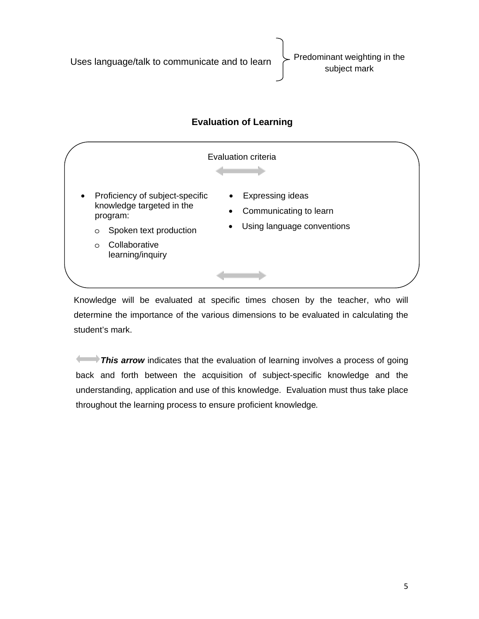Uses language/talk to communicate and to learn Predominant weighting in the subject mark



Knowledge will be evaluated at specific times chosen by the teacher, who will determine the importance of the various dimensions to be evaluated in calculating the student's mark.

**This arrow** indicates that the evaluation of learning involves a process of going back and forth between the acquisition of subject-specific knowledge and the understanding, application and use of this knowledge. Evaluation must thus take place throughout the learning process to ensure proficient knowledge*.*

## **Evaluation of Learning**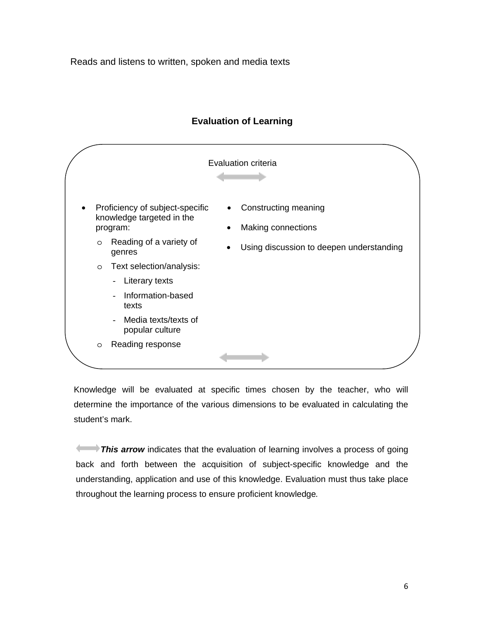Reads and listens to written, spoken and media texts



## **Evaluation of Learning**

Knowledge will be evaluated at specific times chosen by the teacher, who will determine the importance of the various dimensions to be evaluated in calculating the student's mark.

**This arrow** indicates that the evaluation of learning involves a process of going back and forth between the acquisition of subject-specific knowledge and the understanding, application and use of this knowledge. Evaluation must thus take place throughout the learning process to ensure proficient knowledge*.*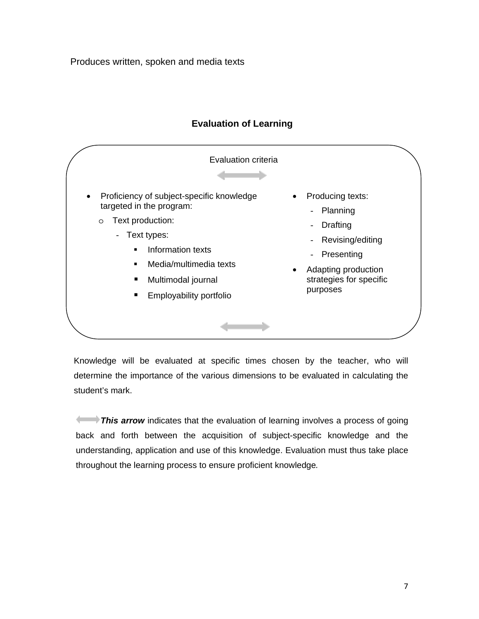Produces written, spoken and media texts



### **Evaluation of Learning**

Knowledge will be evaluated at specific times chosen by the teacher, who will determine the importance of the various dimensions to be evaluated in calculating the student's mark.

**This arrow** indicates that the evaluation of learning involves a process of going back and forth between the acquisition of subject-specific knowledge and the understanding, application and use of this knowledge. Evaluation must thus take place throughout the learning process to ensure proficient knowledge*.*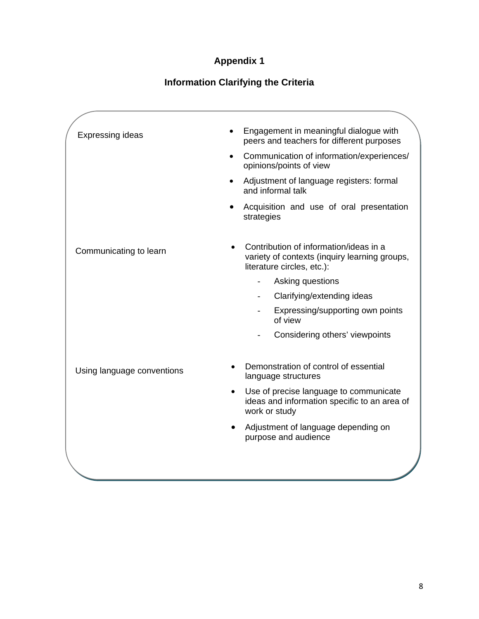## **Appendix 1**

# **Information Clarifying the Criteria**

|  | <b>Expressing ideas</b>    |           | Engagement in meaningful dialogue with<br>peers and teachers for different purposes                                   |
|--|----------------------------|-----------|-----------------------------------------------------------------------------------------------------------------------|
|  |                            | $\bullet$ | Communication of information/experiences/<br>opinions/points of view                                                  |
|  |                            |           | Adjustment of language registers: formal<br>and informal talk                                                         |
|  |                            |           | Acquisition and use of oral presentation<br>strategies                                                                |
|  | Communicating to learn     |           | Contribution of information/ideas in a<br>variety of contexts (inquiry learning groups,<br>literature circles, etc.): |
|  |                            |           | Asking questions                                                                                                      |
|  |                            |           | Clarifying/extending ideas                                                                                            |
|  |                            |           | Expressing/supporting own points<br>of view                                                                           |
|  |                            |           | Considering others' viewpoints                                                                                        |
|  | Using language conventions |           | Demonstration of control of essential<br>language structures                                                          |
|  |                            | $\bullet$ | Use of precise language to communicate<br>ideas and information specific to an area of<br>work or study               |
|  |                            |           | Adjustment of language depending on<br>purpose and audience                                                           |
|  |                            |           |                                                                                                                       |
|  |                            |           |                                                                                                                       |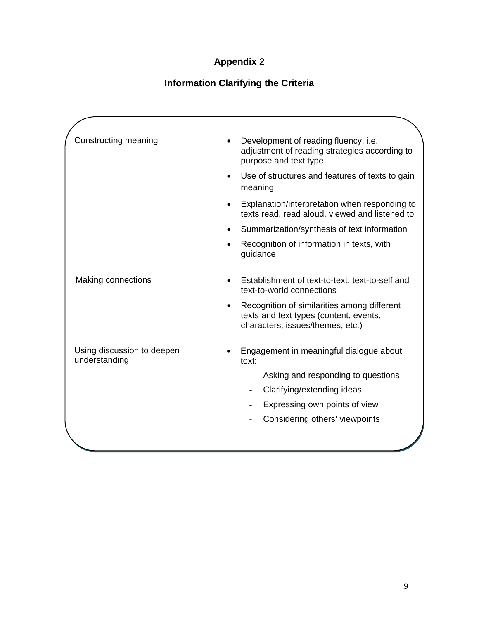# **Appendix 2**

# **Information Clarifying the Criteria**

| Constructing meaning                        | Development of reading fluency, i.e.<br>adjustment of reading strategies according to<br>purpose and text type            |
|---------------------------------------------|---------------------------------------------------------------------------------------------------------------------------|
|                                             | Use of structures and features of texts to gain<br>meaning                                                                |
|                                             | Explanation/interpretation when responding to<br>texts read, read aloud, viewed and listened to                           |
|                                             | Summarization/synthesis of text information                                                                               |
|                                             | Recognition of information in texts, with<br>guidance                                                                     |
| <b>Making connections</b>                   | Establishment of text-to-text, text-to-self and<br>text-to-world connections                                              |
|                                             | Recognition of similarities among different<br>texts and text types (content, events,<br>characters, issues/themes, etc.) |
| Using discussion to deepen<br>understanding | Engagement in meaningful dialogue about<br>text:                                                                          |
|                                             | Asking and responding to questions                                                                                        |
|                                             | Clarifying/extending ideas                                                                                                |
|                                             | Expressing own points of view                                                                                             |
|                                             | Considering others' viewpoints                                                                                            |
|                                             |                                                                                                                           |